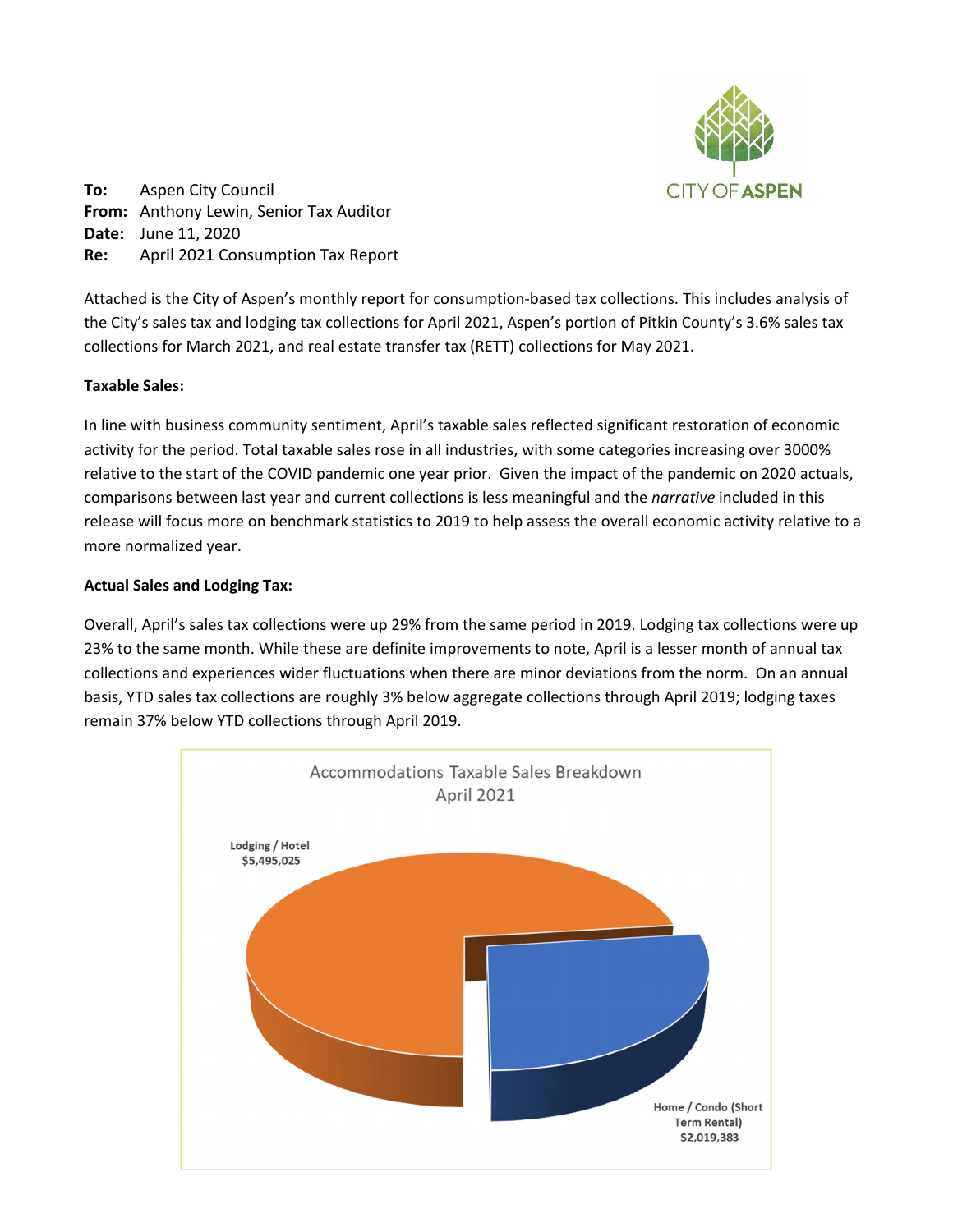

**To:** Aspen City Council **From:** Anthony Lewin, Senior Tax Auditor **Date:** June 11, 2020 **Re:** April 2021 Consumption Tax Report

Attached is the City of Aspen's monthly report for consumption‐based tax collections. This includes analysis of the City's sales tax and lodging tax collections for April 2021, Aspen's portion of Pitkin County's 3.6% sales tax collections for March 2021, and real estate transfer tax (RETT) collections for May 2021.

# **Taxable Sales:**

In line with business community sentiment, April's taxable sales reflected significant restoration of economic activity for the period. Total taxable sales rose in all industries, with some categories increasing over 3000% relative to the start of the COVID pandemic one year prior. Given the impact of the pandemic on 2020 actuals, comparisons between last year and current collections is less meaningful and the *narrative* included in this release will focus more on benchmark statistics to 2019 to help assess the overall economic activity relative to a more normalized year.

## **Actual Sales and Lodging Tax:**

Overall, April's sales tax collections were up 29% from the same period in 2019. Lodging tax collections were up 23% to the same month. While these are definite improvements to note, April is a lesser month of annual tax collections and experiences wider fluctuations when there are minor deviations from the norm. On an annual basis, YTD sales tax collections are roughly 3% below aggregate collections through April 2019; lodging taxes remain 37% below YTD collections through April 2019.

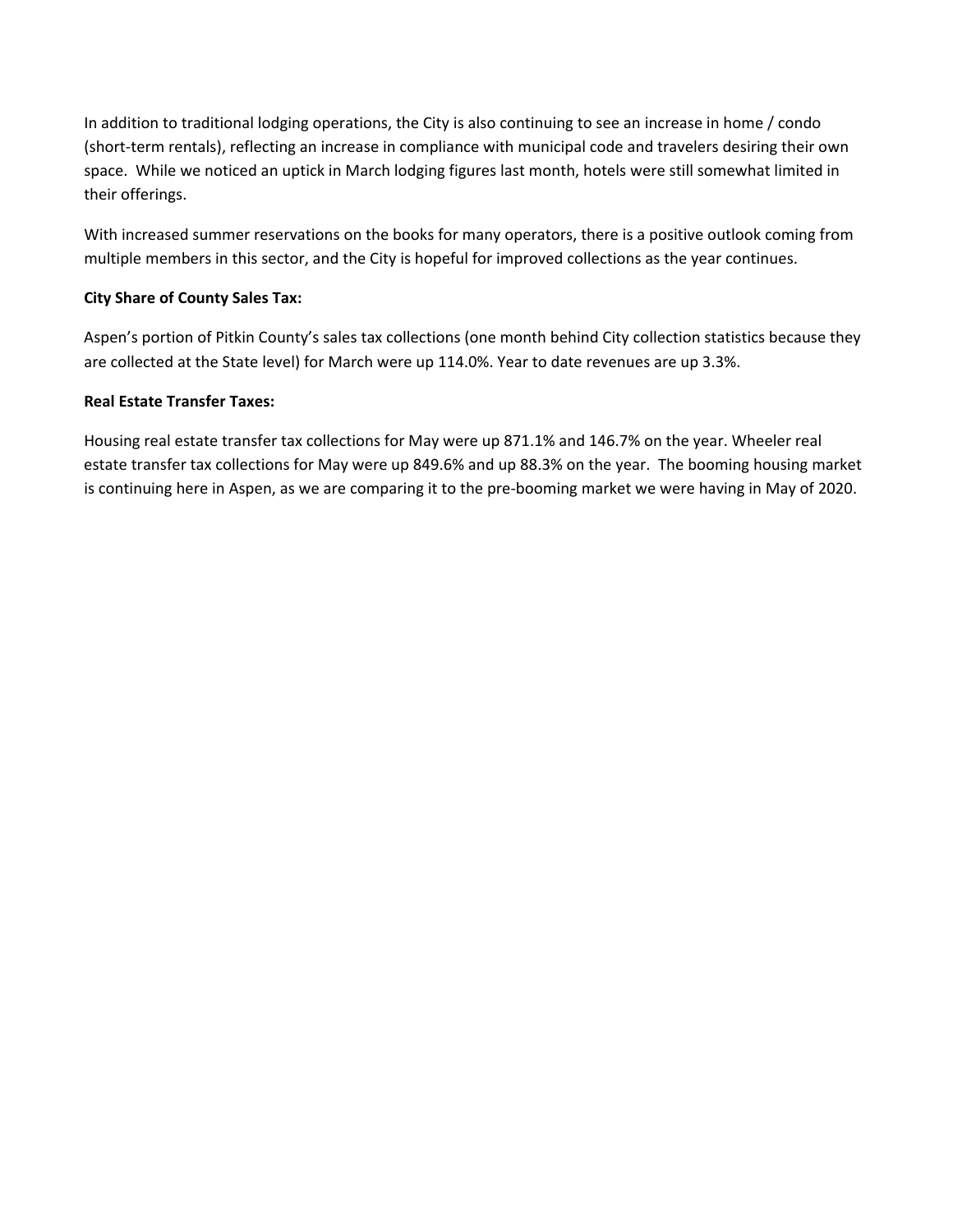In addition to traditional lodging operations, the City is also continuing to see an increase in home / condo (short-term rentals), reflecting an increase in compliance with municipal code and travelers desiring their own space. While we noticed an uptick in March lodging figures last month, hotels were still somewhat limited in their offerings.

With increased summer reservations on the books for many operators, there is a positive outlook coming from multiple members in this sector, and the City is hopeful for improved collections as the year continues.

# **City Share of County Sales Tax:**

Aspen's portion of Pitkin County's sales tax collections (one month behind City collection statistics because they are collected at the State level) for March were up 114.0%. Year to date revenues are up 3.3%.

# **Real Estate Transfer Taxes:**

Housing real estate transfer tax collections for May were up 871.1% and 146.7% on the year. Wheeler real estate transfer tax collections for May were up 849.6% and up 88.3% on the year. The booming housing market is continuing here in Aspen, as we are comparing it to the pre‐booming market we were having in May of 2020.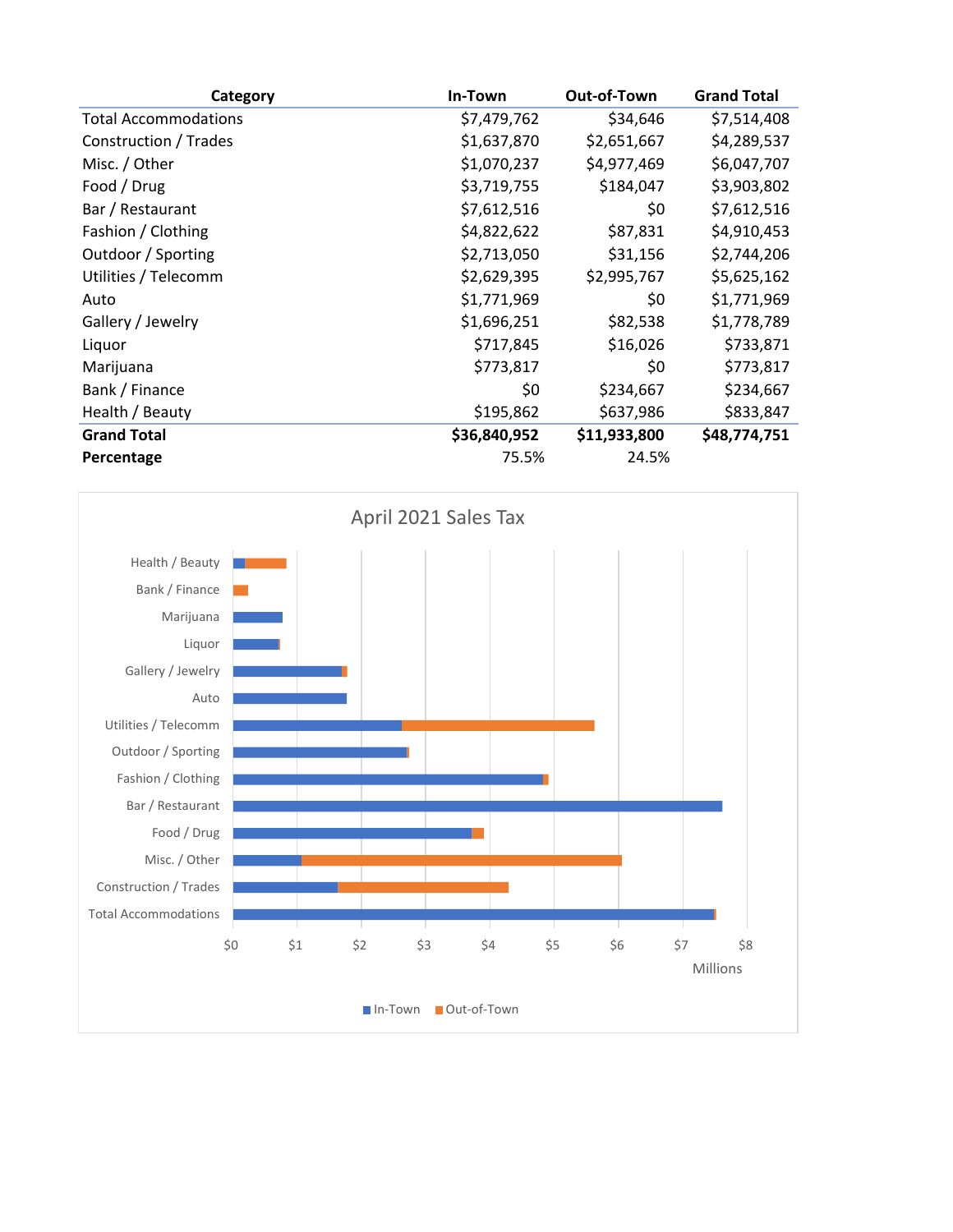| Category                    | In-Town      | Out-of-Town  | <b>Grand Total</b> |
|-----------------------------|--------------|--------------|--------------------|
| <b>Total Accommodations</b> | \$7,479,762  | \$34,646     | \$7,514,408        |
| Construction / Trades       | \$1,637,870  | \$2,651,667  | \$4,289,537        |
| Misc. / Other               | \$1,070,237  | \$4,977,469  | \$6,047,707        |
| Food / Drug                 | \$3,719,755  | \$184,047    | \$3,903,802        |
| Bar / Restaurant            | \$7,612,516  | \$0          | \$7,612,516        |
| Fashion / Clothing          | \$4,822,622  | \$87,831     | \$4,910,453        |
| Outdoor / Sporting          | \$2,713,050  | \$31,156     | \$2,744,206        |
| Utilities / Telecomm        | \$2,629,395  | \$2,995,767  | \$5,625,162        |
| Auto                        | \$1,771,969  | \$0          | \$1,771,969        |
| Gallery / Jewelry           | \$1,696,251  | \$82,538     | \$1,778,789        |
| Liquor                      | \$717,845    | \$16,026     | \$733,871          |
| Marijuana                   | \$773,817    | \$0          | \$773,817          |
| Bank / Finance              | \$0          | \$234,667    | \$234,667          |
| Health / Beauty             | \$195,862    | \$637,986    | \$833,847          |
| <b>Grand Total</b>          | \$36,840,952 | \$11,933,800 | \$48,774,751       |
| Percentage                  | 75.5%        | 24.5%        |                    |

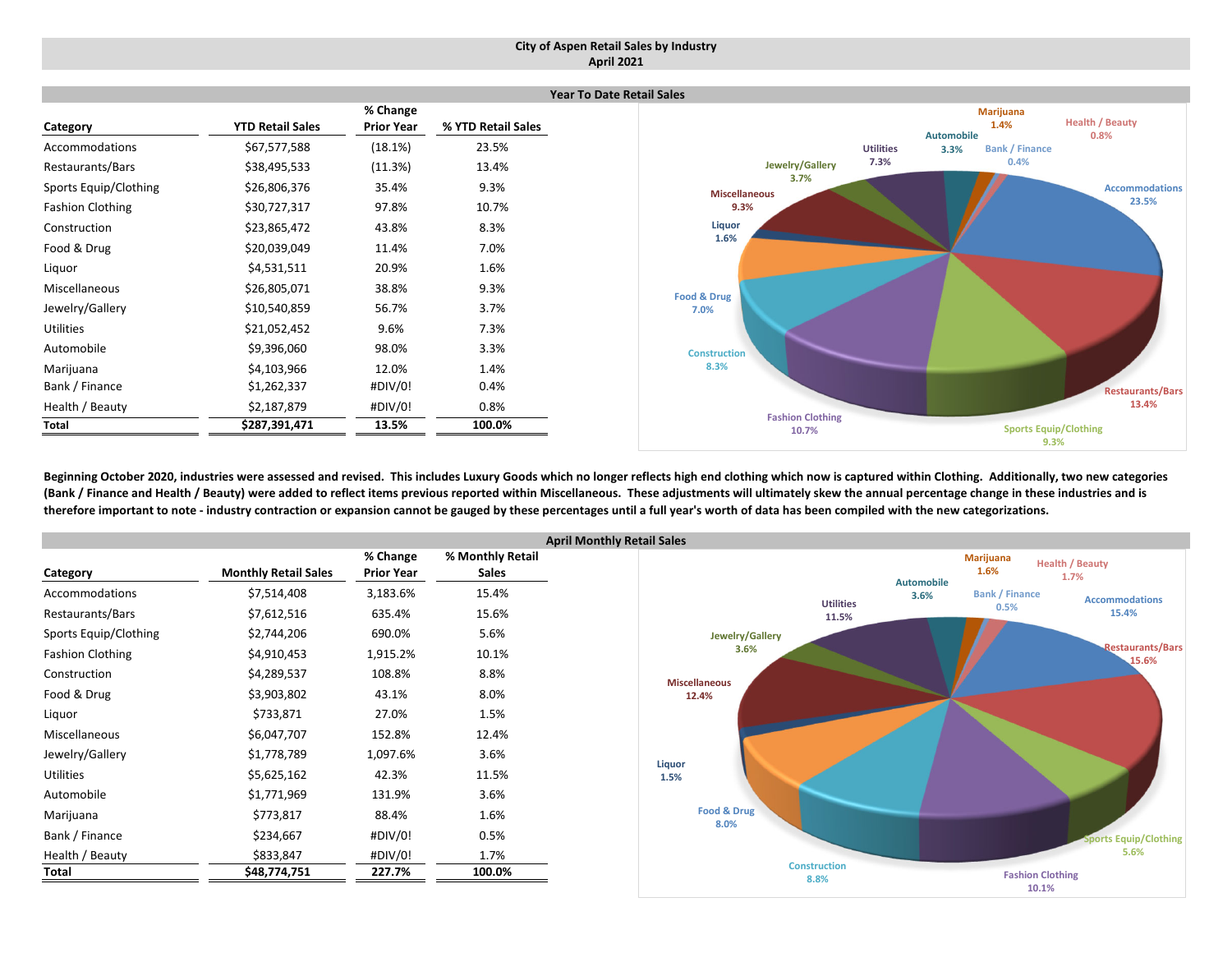#### **City of Aspen Retail Sales by Industry April 2021**

|                         |                         |                   | Ye                 |
|-------------------------|-------------------------|-------------------|--------------------|
|                         |                         | % Change          |                    |
| Category                | <b>YTD Retail Sales</b> | <b>Prior Year</b> | % YTD Retail Sales |
| Accommodations          | \$67,577,588            | (18.1%)           | 23.5%              |
| Restaurants/Bars        | \$38,495,533            | (11.3%)           | 13.4%              |
| Sports Equip/Clothing   | \$26,806,376            | 35.4%             | 9.3%               |
| <b>Fashion Clothing</b> | \$30,727,317            | 97.8%             | 10.7%              |
| Construction            | \$23,865,472            | 43.8%             | 8.3%               |
| Food & Drug             | \$20,039,049            | 11.4%             | 7.0%               |
| Liquor                  | \$4,531,511             | 20.9%             | 1.6%               |
| Miscellaneous           | \$26,805,071            | 38.8%             | 9.3%               |
| Jewelry/Gallery         | \$10,540,859            | 56.7%             | 3.7%               |
| <b>Utilities</b>        | \$21,052,452            | 9.6%              | 7.3%               |
| Automobile              | \$9,396,060             | 98.0%             | 3.3%               |
| Marijuana               | \$4,103,966             | 12.0%             | 1.4%               |
| Bank / Finance          | \$1,262,337             | #DIV/0!           | 0.4%               |
| Health / Beauty         | \$2,187,879             | #DIV/0!           | 0.8%               |
| <b>Total</b>            | \$287,391,471           | 13.5%             | 100.0%             |



Beginning October 2020, industries were assessed and revised. This includes Luxury Goods which no longer reflects high end clothing which now is captured within Clothing. Additionally, two new categories (Bank / Finance and Health / Beauty) were added to reflect items previous reported within Miscellaneous. These adjustments will ultimately skew the annual percentage change in these industries and is therefore important to note - industry contraction or expansion cannot be gauged by these percentages until a full year's worth of data has been compiled with the new categorizations.

|                         |                             |                   | Ap               |
|-------------------------|-----------------------------|-------------------|------------------|
|                         |                             | % Change          | % Monthly Retail |
| Category                | <b>Monthly Retail Sales</b> | <b>Prior Year</b> | <b>Sales</b>     |
| Accommodations          | \$7,514,408                 | 3,183.6%          | 15.4%            |
| Restaurants/Bars        | \$7,612,516                 | 635.4%            | 15.6%            |
| Sports Equip/Clothing   | \$2,744,206                 | 690.0%            | 5.6%             |
| <b>Fashion Clothing</b> | \$4,910,453                 | 1,915.2%          | 10.1%            |
| Construction            | \$4,289,537                 | 108.8%            | 8.8%             |
| Food & Drug             | \$3,903,802                 | 43.1%             | 8.0%             |
| Liquor                  | \$733,871                   | 27.0%             | 1.5%             |
| <b>Miscellaneous</b>    | \$6,047,707                 | 152.8%            | 12.4%            |
| Jewelry/Gallery         | \$1,778,789                 | 1,097.6%          | 3.6%             |
| <b>Utilities</b>        | \$5,625,162                 | 42.3%             | 11.5%            |
| Automobile              | \$1,771,969                 | 131.9%            | 3.6%             |
| Marijuana               | \$773,817                   | 88.4%             | 1.6%             |
| Bank / Finance          | \$234,667                   | #DIV/0!           | 0.5%             |
| Health / Beauty         | \$833,847                   | #DIV/0!           | 1.7%             |
| Total                   | \$48,774,751                | 227.7%            | 100.0%           |

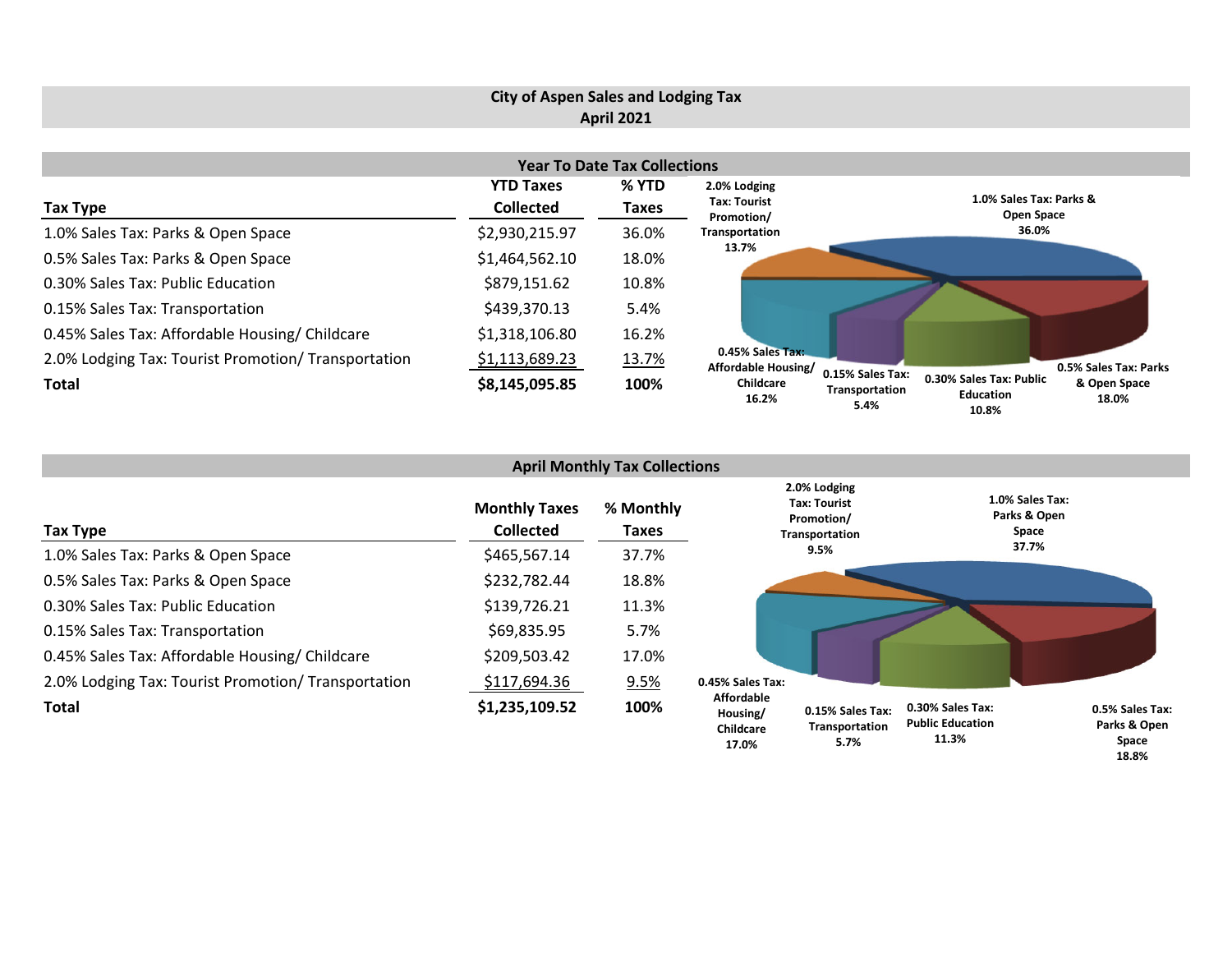# **City of Aspen Sales and Lodging Tax April 2021**

| <b>Year To Date Tax Collections</b>                 |                  |       |                                                |                                                                                                                      |  |  |  |  |  |  |
|-----------------------------------------------------|------------------|-------|------------------------------------------------|----------------------------------------------------------------------------------------------------------------------|--|--|--|--|--|--|
|                                                     | <b>YTD Taxes</b> | % YTD | 2.0% Lodging                                   |                                                                                                                      |  |  |  |  |  |  |
| Tax Type                                            | <b>Collected</b> | Taxes | <b>Tax: Tourist</b><br>Promotion/              | 1.0% Sales Tax: Parks &<br>Open Space                                                                                |  |  |  |  |  |  |
| 1.0% Sales Tax: Parks & Open Space                  | \$2,930,215.97   | 36.0% | Transportation                                 | 36.0%                                                                                                                |  |  |  |  |  |  |
| 0.5% Sales Tax: Parks & Open Space                  | \$1,464,562.10   | 18.0% | 13.7%                                          |                                                                                                                      |  |  |  |  |  |  |
| 0.30% Sales Tax: Public Education                   | \$879,151.62     | 10.8% |                                                |                                                                                                                      |  |  |  |  |  |  |
| 0.15% Sales Tax: Transportation                     | \$439,370.13     | 5.4%  |                                                |                                                                                                                      |  |  |  |  |  |  |
| 0.45% Sales Tax: Affordable Housing/ Childcare      | \$1,318,106.80   | 16.2% |                                                |                                                                                                                      |  |  |  |  |  |  |
| 2.0% Lodging Tax: Tourist Promotion/ Transportation | \$1,113,689.23   | 13.7% | 0.45% Sales Tax:<br><b>Affordable Housing/</b> | 0.5% Sales Tax: Parks                                                                                                |  |  |  |  |  |  |
| <b>Total</b>                                        | \$8,145,095.85   | 100%  | Childcare<br>16.2%                             | 0.15% Sales Tax:<br>0.30% Sales Tax: Public<br>& Open Space<br>Transportation<br>Education<br>18.0%<br>5.4%<br>1በ ያ% |  |  |  |  |  |  |

| <b>April Monthly Tax Collections</b>                |                                          |                           |                                                     |                                                                     |                                                      |                                          |  |  |  |  |
|-----------------------------------------------------|------------------------------------------|---------------------------|-----------------------------------------------------|---------------------------------------------------------------------|------------------------------------------------------|------------------------------------------|--|--|--|--|
| Tax Type                                            | <b>Monthly Taxes</b><br><b>Collected</b> | % Monthly<br><b>Taxes</b> |                                                     | 2.0% Lodging<br><b>Tax: Tourist</b><br>Promotion/<br>Transportation |                                                      | 1.0% Sales Tax:<br>Parks & Open<br>Space |  |  |  |  |
| 1.0% Sales Tax: Parks & Open Space                  | \$465,567.14                             | 37.7%                     |                                                     | 9.5%                                                                |                                                      | 37.7%                                    |  |  |  |  |
| 0.5% Sales Tax: Parks & Open Space                  | \$232,782.44                             | 18.8%                     |                                                     |                                                                     |                                                      |                                          |  |  |  |  |
| 0.30% Sales Tax: Public Education                   | \$139,726.21                             | 11.3%                     |                                                     |                                                                     |                                                      |                                          |  |  |  |  |
| 0.15% Sales Tax: Transportation                     | \$69,835.95                              | 5.7%                      |                                                     |                                                                     |                                                      |                                          |  |  |  |  |
| 0.45% Sales Tax: Affordable Housing/Childcare       | \$209,503.42                             | 17.0%                     |                                                     |                                                                     |                                                      |                                          |  |  |  |  |
| 2.0% Lodging Tax: Tourist Promotion/ Transportation | \$117,694.36                             | 9.5%                      | 0.45% Sales Tax:                                    |                                                                     |                                                      |                                          |  |  |  |  |
| <b>Total</b>                                        | \$1,235,109.52                           | 100%                      | <b>Affordable</b><br>Housing/<br>Childcare<br>17 በ% | 0.15% Sales Tax:<br>Transportation<br>5.7%                          | 0.30% Sales Tax:<br><b>Public Education</b><br>11.3% | 0.5% Sales Tax:<br>Parks & Open<br>Space |  |  |  |  |

**18.8%**

**10.8%**

**5.7%**

**17.0%**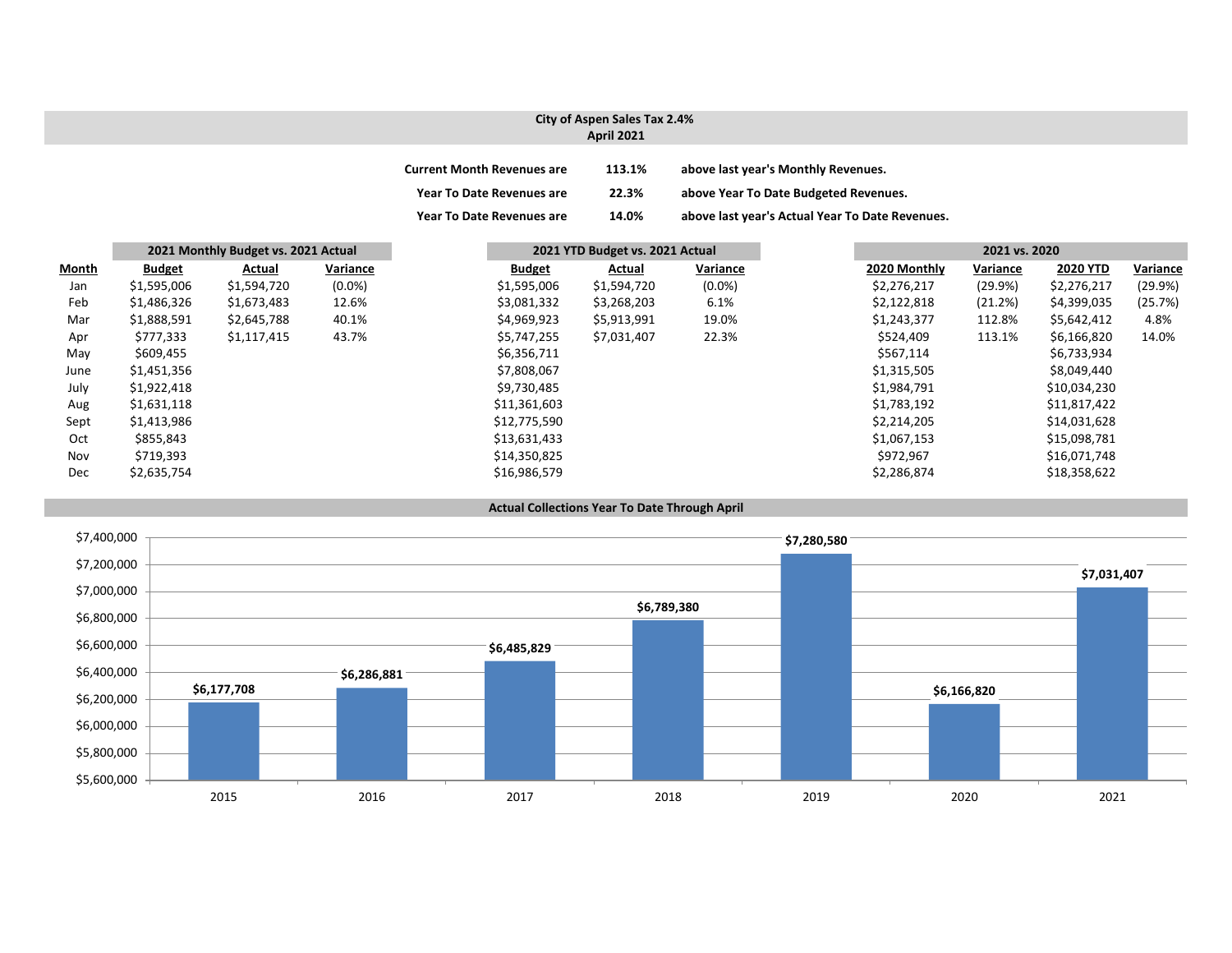### **City of Aspen Sales Tax 2.4% April 2021**

| <b>Current Month Revenues are</b> | 113.1% | above last year's Monthly Revenues.             |
|-----------------------------------|--------|-------------------------------------------------|
| <b>Year To Date Revenues are</b>  | 22.3%  | above Year To Date Budgeted Revenues.           |
| <b>Year To Date Revenues are</b>  | 14.0%  | above last year's Actual Year To Date Revenues. |

|              |               | 2021 Monthly Budget vs. 2021 Actual<br>2021 YTD Budget vs. 2021 Actual |           |  |               | 2021 vs. 2020 |           |              |          |                 |          |
|--------------|---------------|------------------------------------------------------------------------|-----------|--|---------------|---------------|-----------|--------------|----------|-----------------|----------|
| <u>Month</u> | <b>Budget</b> | Actual                                                                 | Variance  |  | <b>Budget</b> | Actual        | Variance  | 2020 Monthly | Variance | <b>2020 YTD</b> | Variance |
| Jan          | \$1,595,006   | \$1,594,720                                                            | $(0.0\%)$ |  | \$1,595,006   | \$1,594,720   | $(0.0\%)$ | \$2,276,217  | (29.9%)  | \$2,276,217     | (29.9%)  |
| Feb          | \$1,486,326   | \$1,673,483                                                            | 12.6%     |  | \$3,081,332   | \$3,268,203   | 6.1%      | \$2,122,818  | (21.2%)  | \$4,399,035     | (25.7%)  |
| Mar          | \$1,888,591   | \$2,645,788                                                            | 40.1%     |  | \$4,969,923   | \$5,913,991   | 19.0%     | \$1,243,377  | 112.8%   | \$5,642,412     | 4.8%     |
| Apr          | \$777,333     | \$1,117,415                                                            | 43.7%     |  | \$5,747,255   | \$7,031,407   | 22.3%     | \$524,409    | 113.1%   | \$6,166,820     | 14.0%    |
| May          | \$609,455     |                                                                        |           |  | \$6,356,711   |               |           | \$567,114    |          | \$6,733,934     |          |
| June         | \$1,451,356   |                                                                        |           |  | \$7,808,067   |               |           | \$1,315,505  |          | \$8,049,440     |          |
| July         | \$1,922,418   |                                                                        |           |  | \$9,730,485   |               |           | \$1,984,791  |          | \$10,034,230    |          |
| Aug          | \$1,631,118   |                                                                        |           |  | \$11,361,603  |               |           | \$1,783,192  |          | \$11,817,422    |          |
| Sept         | \$1,413,986   |                                                                        |           |  | \$12,775,590  |               |           | \$2,214,205  |          | \$14,031,628    |          |
| Oct          | \$855,843     |                                                                        |           |  | \$13,631,433  |               |           | \$1,067,153  |          | \$15,098,781    |          |
| Nov          | \$719,393     |                                                                        |           |  | \$14,350,825  |               |           | \$972,967    |          | \$16,071,748    |          |
| Dec          | \$2,635,754   |                                                                        |           |  | \$16,986,579  |               |           | \$2,286,874  |          | \$18,358,622    |          |

#### **Actual Collections Year To Date Through April**

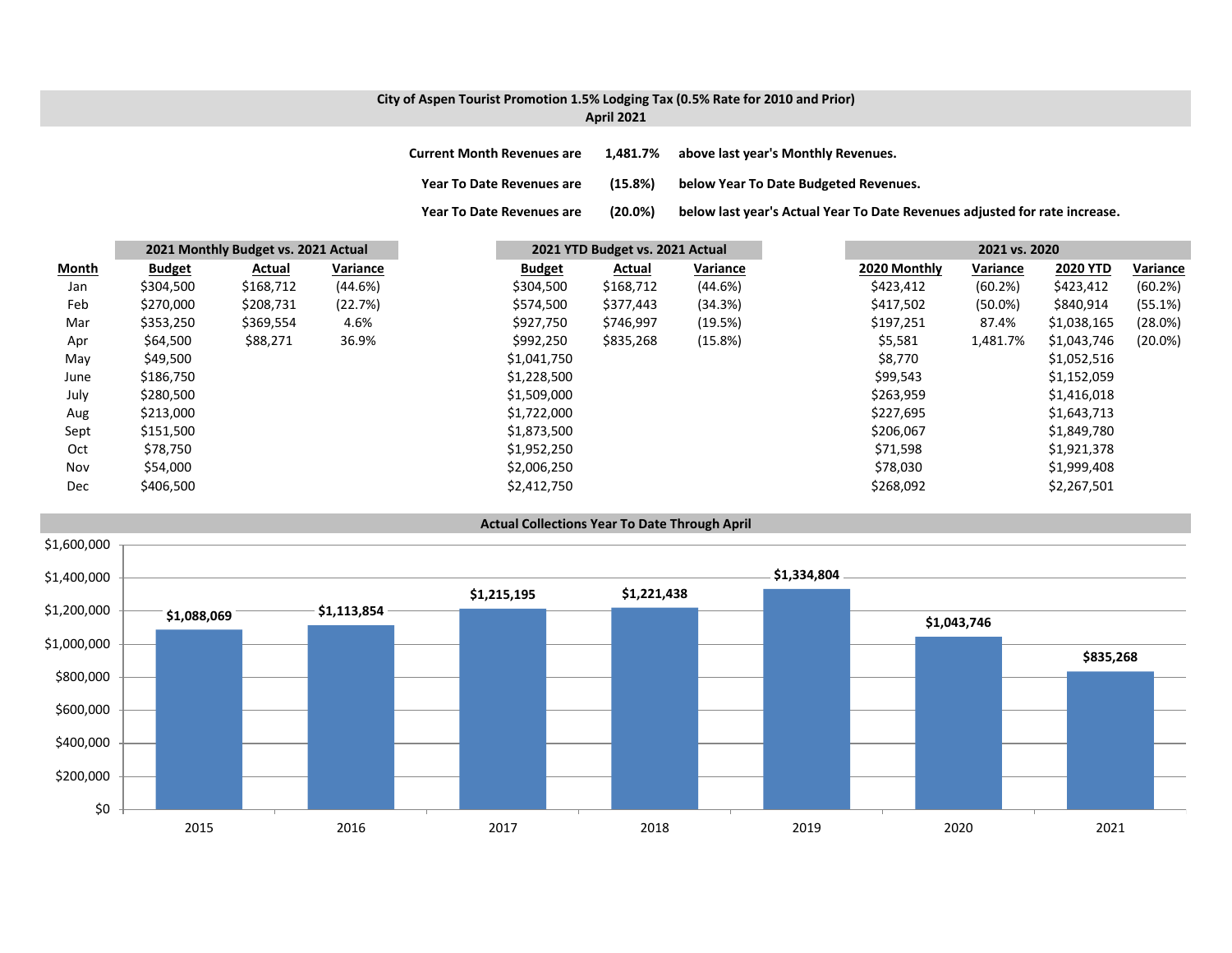### **City of Aspen Tourist Promotion 1.5% Lodging Tax (0.5% Rate for 2010 and Prior) April 2021**

**Year To**

**Current MonthRevenues are 1,481.7% above last year's Monthly Revenues.**

**Year ToDate Revenues are (15.8%) below Year To Date Budgeted Revenues.**

(20.0%) below last year's Actual Year To Date Revenues adjusted for rate increase.

|              |               | 2021 Monthly Budget vs. 2021 Actual |          | 2021 YTD Budget vs. 2021 Actual |           |          | 2021 vs. 2020 |            |                 |            |  |
|--------------|---------------|-------------------------------------|----------|---------------------------------|-----------|----------|---------------|------------|-----------------|------------|--|
| <b>Month</b> | <b>Budget</b> | Actual                              | Variance | <b>Budget</b>                   | Actual    | Variance | 2020 Monthly  | Variance   | <b>2020 YTD</b> | Variance   |  |
| Jan          | \$304,500     | \$168,712                           | (44.6%)  | \$304,500                       | \$168,712 | (44.6%)  | \$423,412     | (60.2%)    | \$423,412       | (60.2%)    |  |
| Feb          | \$270,000     | \$208,731                           | (22.7%)  | \$574,500                       | \$377,443 | (34.3%)  | \$417,502     | $(50.0\%)$ | \$840,914       | (55.1%)    |  |
| Mar          | \$353,250     | \$369,554                           | 4.6%     | \$927,750                       | \$746,997 | (19.5%)  | \$197,251     | 87.4%      | \$1,038,165     | (28.0%)    |  |
| Apr          | \$64,500      | \$88,271                            | 36.9%    | \$992,250                       | \$835,268 | (15.8%)  | \$5,581       | 1,481.7%   | \$1,043,746     | $(20.0\%)$ |  |
| May          | \$49,500      |                                     |          | \$1,041,750                     |           |          | \$8,770       |            | \$1,052,516     |            |  |
| June         | \$186,750     |                                     |          | \$1,228,500                     |           |          | \$99,543      |            | \$1,152,059     |            |  |
| July         | \$280,500     |                                     |          | \$1,509,000                     |           |          | \$263,959     |            | \$1,416,018     |            |  |
| Aug          | \$213,000     |                                     |          | \$1,722,000                     |           |          | \$227,695     |            | \$1,643,713     |            |  |
| Sept         | \$151,500     |                                     |          | \$1,873,500                     |           |          | \$206,067     |            | \$1,849,780     |            |  |
| Oct          | \$78,750      |                                     |          | \$1,952,250                     |           |          | \$71,598      |            | \$1,921,378     |            |  |
| Nov          | \$54,000      |                                     |          | \$2,006,250                     |           |          | \$78,030      |            | \$1,999,408     |            |  |
| <b>Dec</b>   | \$406,500     |                                     |          | \$2,412,750                     |           |          | \$268,092     |            | \$2,267,501     |            |  |

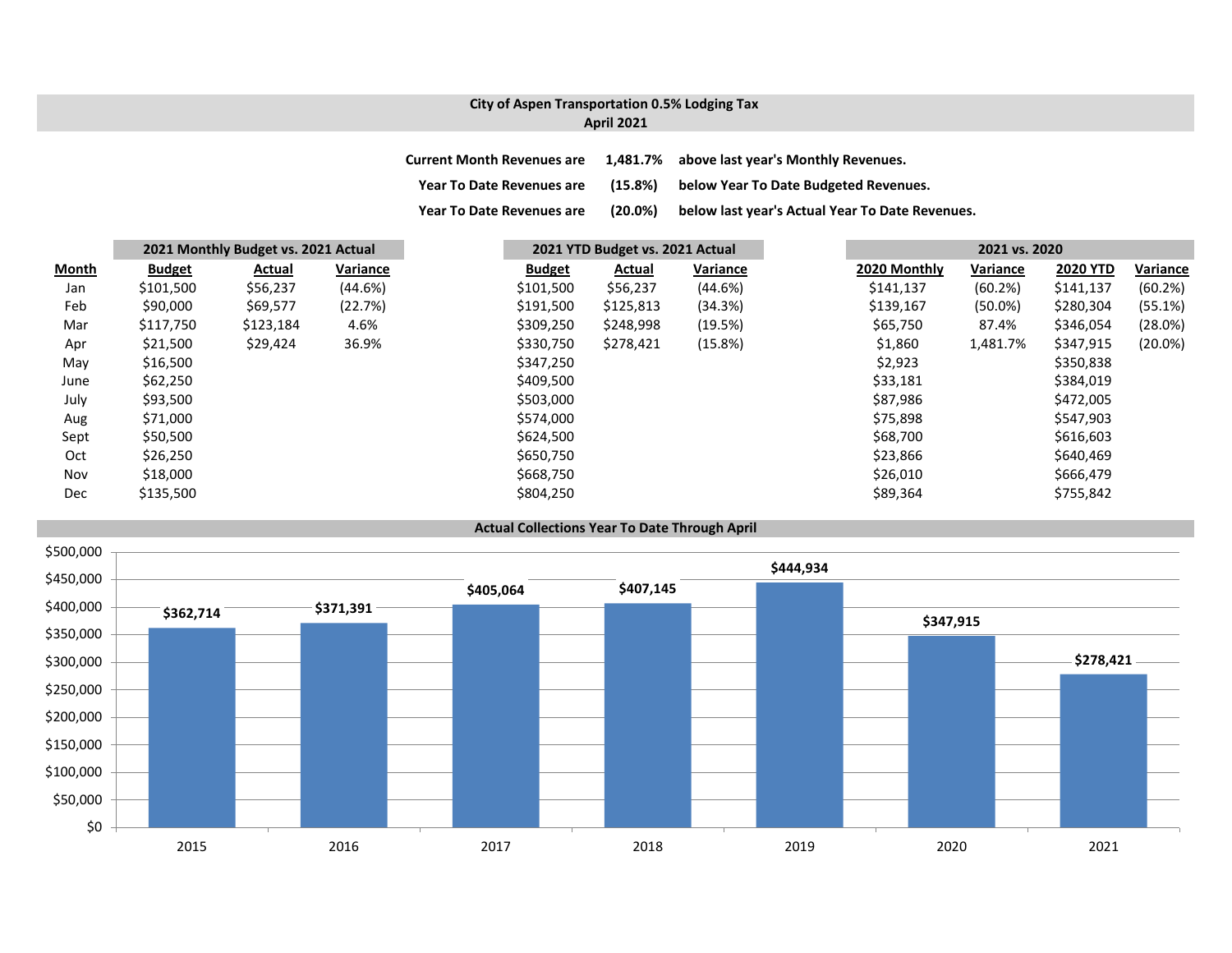### **City of Aspen Transportation 0.5% Lodging Tax April 2021**

| <b>Current Month Revenues are</b> |            | 1,481.7% above last year's Monthly Revenues.    |
|-----------------------------------|------------|-------------------------------------------------|
| <b>Year To Date Revenues are</b>  | $(15.8\%)$ | below Year To Date Budgeted Revenues.           |
| <b>Year To Date Revenues are</b>  | $(20.0\%)$ | below last year's Actual Year To Date Revenues. |

|              |               | 2021 Monthly Budget vs. 2021 Actual |          |               | 2021 YTD Budget vs. 2021 Actual |          |  |              | 2021 vs. 2020 |                 |            |  |  |
|--------------|---------------|-------------------------------------|----------|---------------|---------------------------------|----------|--|--------------|---------------|-----------------|------------|--|--|
| <u>Month</u> | <b>Budget</b> | Actual                              | Variance | <b>Budget</b> | Actual                          | Variance |  | 2020 Monthly | Variance      | <b>2020 YTD</b> | Variance   |  |  |
| Jan          | \$101,500     | \$56,237                            | (44.6%)  | \$101,500     | \$56,237                        | (44.6%)  |  | \$141,137    | (60.2%)       | \$141,137       | (60.2%)    |  |  |
| Feb          | \$90,000      | \$69,577                            | (22.7%)  | \$191,500     | \$125,813                       | (34.3%)  |  | \$139,167    | $(50.0\%)$    | \$280,304       | (55.1%)    |  |  |
| Mar          | \$117,750     | \$123,184                           | 4.6%     | \$309,250     | \$248,998                       | (19.5%)  |  | \$65,750     | 87.4%         | \$346,054       | (28.0%)    |  |  |
| Apr          | \$21,500      | \$29,424                            | 36.9%    | \$330,750     | \$278,421                       | (15.8%)  |  | \$1,860      | 1,481.7%      | \$347,915       | $(20.0\%)$ |  |  |
| May          | \$16,500      |                                     |          | \$347,250     |                                 |          |  | \$2,923      |               | \$350,838       |            |  |  |
| June         | \$62,250      |                                     |          | \$409,500     |                                 |          |  | \$33,181     |               | \$384,019       |            |  |  |
| July         | \$93,500      |                                     |          | \$503,000     |                                 |          |  | \$87,986     |               | \$472,005       |            |  |  |
| Aug          | \$71,000      |                                     |          | \$574,000     |                                 |          |  | \$75,898     |               | \$547,903       |            |  |  |
| Sept         | \$50,500      |                                     |          | \$624,500     |                                 |          |  | \$68,700     |               | \$616,603       |            |  |  |
| Oct          | \$26,250      |                                     |          | \$650,750     |                                 |          |  | \$23,866     |               | \$640,469       |            |  |  |
| Nov          | \$18,000      |                                     |          | \$668,750     |                                 |          |  | \$26,010     |               | \$666,479       |            |  |  |
| Dec          | \$135,500     |                                     |          | \$804,250     |                                 |          |  | \$89,364     |               | \$755,842       |            |  |  |

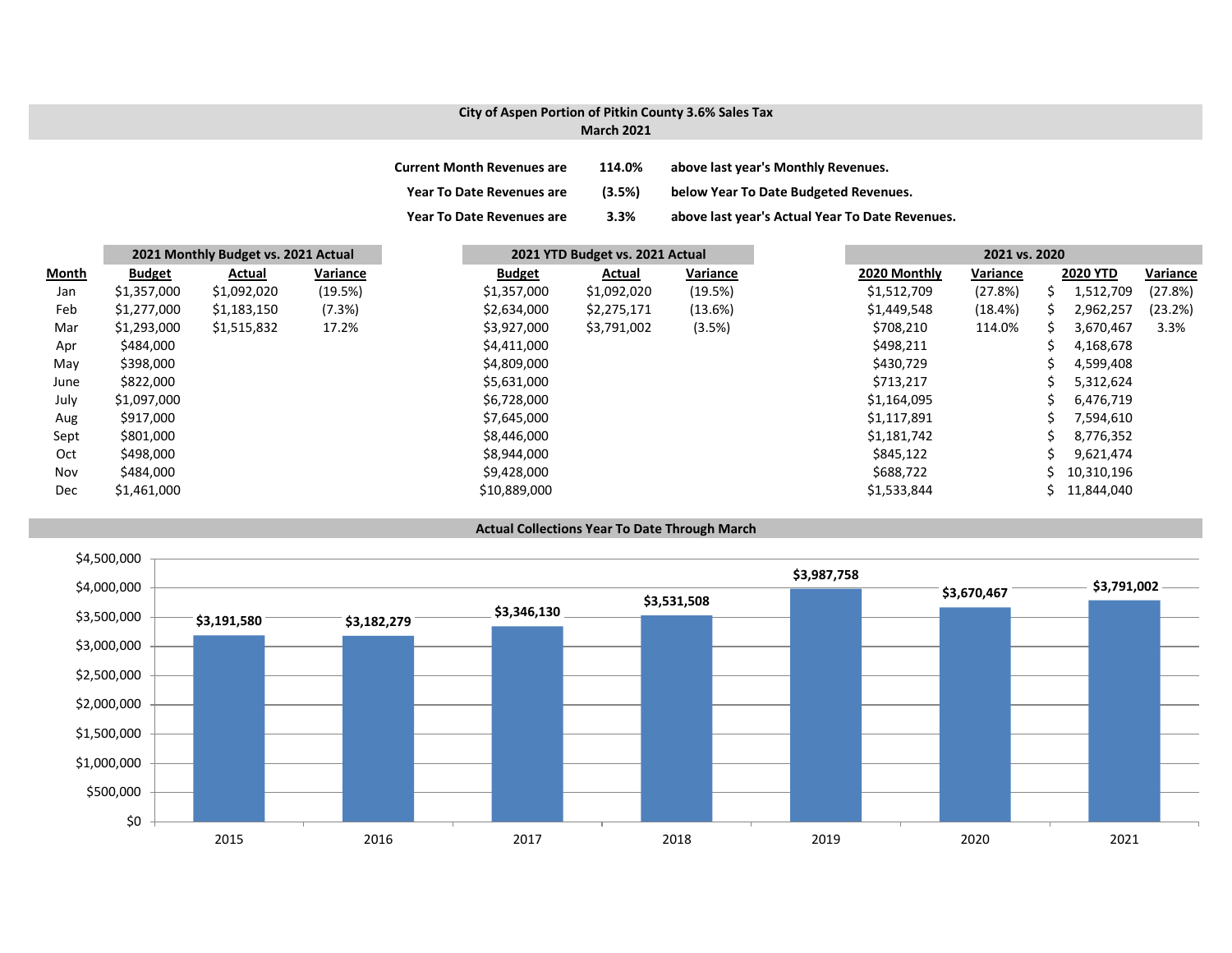#### **City of Aspen Portion of Pitkin County 3.6% Sales Tax March 2021**

| <b>Current Month Revenues are</b> | 114.0% | above last year's Monthly Revenues.             |
|-----------------------------------|--------|-------------------------------------------------|
| <b>Year To Date Revenues are</b>  | (3.5%) | below Year To Date Budgeted Revenues.           |
| <b>Year To Date Revenues are</b>  | 3.3%   | above last year's Actual Year To Date Revenues. |

|            | 2021 Monthly Budget vs. 2021 Actual |             |          |               | 2021 YTD Budget vs. 2021 Actual |          |  | 2021 vs. 2020 |          |  |                 |          |
|------------|-------------------------------------|-------------|----------|---------------|---------------------------------|----------|--|---------------|----------|--|-----------------|----------|
| Month      | <b>Budget</b>                       | Actual      | Variance | <b>Budget</b> | Actual                          | Variance |  | 2020 Monthly  | Variance |  | <b>2020 YTD</b> | Variance |
| Jan        | \$1,357,000                         | \$1,092,020 | (19.5%)  | \$1,357,000   | \$1,092,020                     | (19.5%)  |  | \$1,512,709   | (27.8%)  |  | 1,512,709       | (27.8%)  |
| Feb        | \$1,277,000                         | \$1,183,150 | (7.3%)   | \$2,634,000   | \$2,275,171                     | (13.6%)  |  | \$1,449,548   | (18.4%)  |  | 2,962,257       | (23.2%)  |
| Mar        | \$1,293,000                         | \$1,515,832 | 17.2%    | \$3,927,000   | \$3,791,002                     | (3.5%)   |  | \$708,210     | 114.0%   |  | 3,670,467       | 3.3%     |
| Apr        | \$484,000                           |             |          | \$4,411,000   |                                 |          |  | \$498,211     |          |  | 4,168,678       |          |
| May        | \$398,000                           |             |          | \$4,809,000   |                                 |          |  | \$430,729     |          |  | 4,599,408       |          |
| June       | \$822,000                           |             |          | \$5,631,000   |                                 |          |  | \$713,217     |          |  | 5,312,624       |          |
| July       | \$1,097,000                         |             |          | \$6,728,000   |                                 |          |  | \$1,164,095   |          |  | 6,476,719       |          |
| Aug        | \$917,000                           |             |          | \$7,645,000   |                                 |          |  | \$1,117,891   |          |  | 7,594,610       |          |
| Sept       | \$801,000                           |             |          | \$8,446,000   |                                 |          |  | \$1,181,742   |          |  | 8,776,352       |          |
| Oct        | \$498,000                           |             |          | \$8,944,000   |                                 |          |  | \$845,122     |          |  | 9,621,474       |          |
| Nov        | \$484,000                           |             |          | \$9,428,000   |                                 |          |  | \$688,722     |          |  | 10,310,196      |          |
| <b>Dec</b> | \$1,461,000                         |             |          | \$10,889,000  |                                 |          |  | \$1,533,844   |          |  | 11,844,040      |          |

#### **Actual Collections Year To Date Through March**

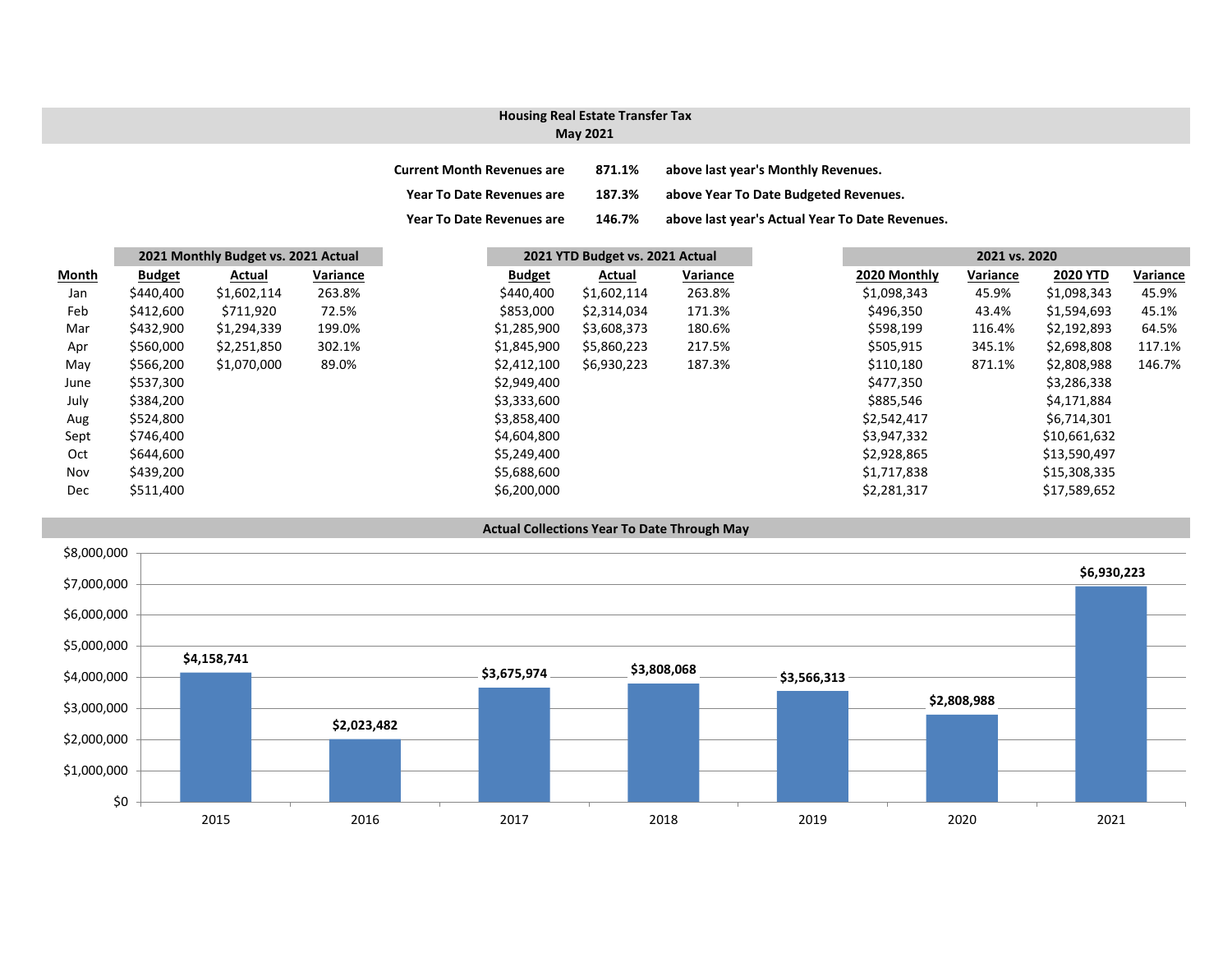# **Housing Real Estate Transfer Tax**

## **May 2021**

| <b>Current Month Revenues are</b> | 871.1% | above last year's Monthly Revenues.             |
|-----------------------------------|--------|-------------------------------------------------|
| <b>Year To Date Revenues are</b>  | 187.3% | above Year To Date Budgeted Revenues.           |
| <b>Year To Date Revenues are</b>  | 146.7% | above last year's Actual Year To Date Revenues. |

|              | 2021 Monthly Budget vs. 2021 Actual |             |          |               | 2021 YTD Budget vs. 2021 Actual |          |  | 2021 vs. 2020 |          |                 |  |
|--------------|-------------------------------------|-------------|----------|---------------|---------------------------------|----------|--|---------------|----------|-----------------|--|
| <b>Month</b> | <b>Budget</b>                       | Actual      | Variance | <b>Budget</b> | Actual                          | Variance |  | 2020 Monthly  | Variance | <b>2020 YTD</b> |  |
| Jan          | \$440,400                           | \$1,602,114 | 263.8%   | \$440,400     | \$1,602,114                     | 263.8%   |  | \$1,098,343   | 45.9%    | \$1,098,343     |  |
| Feb          | \$412,600                           | \$711,920   | 72.5%    | \$853,000     | \$2,314,034                     | 171.3%   |  | \$496,350     | 43.4%    | \$1,594,693     |  |
| Mar          | \$432,900                           | \$1,294,339 | 199.0%   | \$1,285,900   | \$3,608,373                     | 180.6%   |  | \$598,199     | 116.4%   | \$2,192,893     |  |
| Apr          | \$560,000                           | \$2,251,850 | 302.1%   | \$1,845,900   | \$5,860,223                     | 217.5%   |  | \$505,915     | 345.1%   | \$2,698,808     |  |
| May          | \$566,200                           | \$1,070,000 | 89.0%    | \$2,412,100   | \$6,930,223                     | 187.3%   |  | \$110,180     | 871.1%   | \$2,808,988     |  |
| June         | \$537,300                           |             |          | \$2,949,400   |                                 |          |  | \$477,350     |          | \$3,286,338     |  |
| July         | \$384,200                           |             |          | \$3,333,600   |                                 |          |  | \$885,546     |          | \$4,171,884     |  |
| Aug          | \$524,800                           |             |          | \$3,858,400   |                                 |          |  | \$2,542,417   |          | \$6,714,301     |  |
| Sept         | \$746,400                           |             |          | \$4,604,800   |                                 |          |  | \$3,947,332   |          | \$10,661,632    |  |
| Oct          | \$644,600                           |             |          | \$5,249,400   |                                 |          |  | \$2,928,865   |          | \$13,590,497    |  |
| Nov          | \$439,200                           |             |          | \$5,688,600   |                                 |          |  | \$1,717,838   |          | \$15,308,335    |  |
| Dec          | \$511,400                           |             |          | \$6,200,000   |                                 |          |  | \$2,281,317   |          | \$17,589,652    |  |